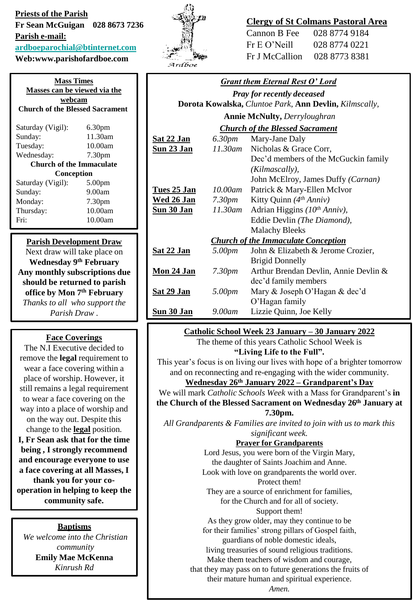### **Priests of the Parish Fr Sean McGuigan 028 8673 7236 Parish e-mail: [ardboeparochial@btinternet.com](mailto:ardboeparochial@btinternet.com)**

**Web:www.parishofardboe.com**

### **Mass Times Masses can be viewed via the webcam Church of the Blessed Sacrament** Saturday (Vigil): 6.30pm Sunday: 11.30am Tuesday: 10.00am Wednesday: 7.30pm **Church of the Immaculate Conception** Saturday (Vigil): 5.00pm Sunday: 9.00am Monday: 7.30pm Thursday: 10.00am Fri: 10.00am

### **Parish Development Draw**

Next draw will take place on **Wednesday 9th February Any monthly subscriptions due should be returned to parish office by Mon 7th February** *Thanks to all who support the Parish Draw .*

# **Face Coverings**

The N.I Executive decided to remove the **legal** requirement to wear a face covering within a place of worship. However, it still remains a legal requirement to wear a face covering on the way into a place of worship and on the way out. Despite this change to the **legal** position. **I, Fr Sean ask that for the time being , I strongly recommend and encourage everyone to use a face covering at all Masses, I thank you for your cooperation in helping to keep the community safe.**

#### **Baptisms**

*We welcome into the Christian community* **Emily Mae McKenna** *Kinrush Rd*



# **Clergy of St Colmans Pastoral Area**

| Cannon B Fee   | 028 8774 9184 |
|----------------|---------------|
| Fr E O' Neill  | 028 8774 0221 |
| Fr J McCallion | 028 8773 8381 |

| <b>Grant them Eternal Rest O' Lord</b>                 |                    |                                       |
|--------------------------------------------------------|--------------------|---------------------------------------|
| <b>Pray for recently deceased</b>                      |                    |                                       |
| Dorota Kowalska, Cluntoe Park, Ann Devlin, Kilmscally, |                    |                                       |
| <b>Annie McNulty, Derryloughran</b>                    |                    |                                       |
| <b>Church of the Blessed Sacrament</b>                 |                    |                                       |
| <u>Sat 22 Jan</u>                                      | 6.30 <sub>pm</sub> | Mary-Jane Daly                        |
| <b>Sun 23 Jan</b>                                      |                    | 11.30am Nicholas & Grace Corr,        |
|                                                        |                    | Dec'd members of the McGuckin family  |
|                                                        |                    | (Kilmascally),                        |
|                                                        |                    | John McElroy, James Duffy (Carnan)    |
| Tues 25 Jan                                            | $10.00$ am         | Patrick & Mary-Ellen McIvor           |
| <u>Wed 26 Jan</u>                                      | 7.30 <sub>pm</sub> | Kitty Quinn $(4th Anniv)$             |
| <b>Sun 30 Jan</b>                                      | 11.30am            | Adrian Higgins $(10^{th} Anniv)$ ,    |
|                                                        |                    | Eddie Devlin (The Diamond),           |
|                                                        |                    | <b>Malachy Bleeks</b>                 |
| <b>Church of the Immaculate Conception</b>             |                    |                                       |
| <b>Sat 22 Jan</b>                                      | 5.00pm             | John & Elizabeth & Jerome Crozier,    |
|                                                        |                    | <b>Brigid Donnelly</b>                |
| <b>Mon 24 Jan</b>                                      | 7.30pm             | Arthur Brendan Devlin, Annie Devlin & |
|                                                        |                    | dec'd family members                  |
| <u>Sat 29 Jan</u>                                      | 5.00pm             | Mary & Joseph O'Hagan & dec'd         |
|                                                        |                    | O'Hagan family                        |
| <b>Sun 30 Jan</b>                                      | 9.00am             | Lizzie Quinn, Joe Kelly               |
| Catholic School Week 23 January - 30 January 2022      |                    |                                       |

### **Catholic School Week 23 January – 30 January 2022**

The theme of this years Catholic School Week is **"Living Life to the Full".**

This year's focus is on living our lives with hope of a brighter tomorrow and on reconnecting and re-engaging with the wider community.

# **Wednesday 26th January 2022 – Grandparent's Day**

We will mark *Catholic Schools Week* with a Mass for Grandparent's **in the Church of the Blessed Sacrament on Wednesday 26th January at** 

**7.30pm.**  *All Grandparents & Families are invited to join with us to mark this* 

#### *significant week.* **Prayer for Grandparents**

Lord Jesus, you were born of the Virgin Mary, the daughter of Saints Joachim and Anne. Look with love on grandparents the world over. Protect them! They are a source of enrichment for families, for the Church and for all of society. Support them! As they grow older, may they continue to be for their families' strong pillars of Gospel faith, guardians of noble domestic ideals, living treasuries of sound religious traditions. Make them teachers of wisdom and courage, that they may pass on to future generations the fruits of their mature human and spiritual experience. *Amen.*